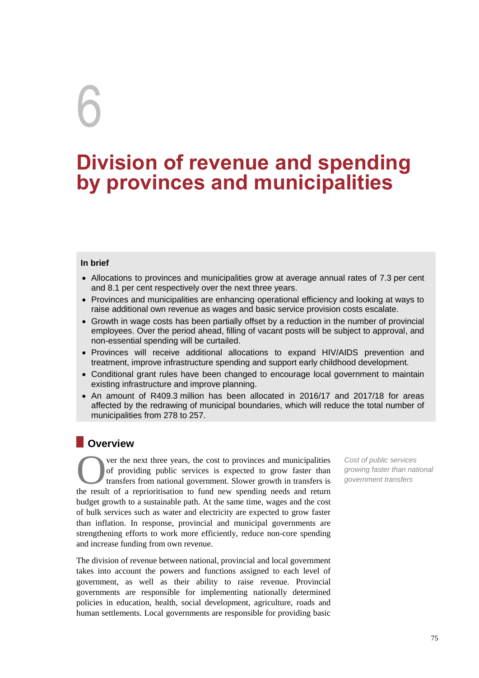# 6

# **Division of revenue and spending by provinces and municipalities**

#### **In brief**

- Allocations to provinces and municipalities grow at average annual rates of 7.3 per cent and 8.1 per cent respectively over the next three years.
- Provinces and municipalities are enhancing operational efficiency and looking at ways to raise additional own revenue as wages and basic service provision costs escalate.
- Growth in wage costs has been partially offset by a reduction in the number of provincial employees. Over the period ahead, filling of vacant posts will be subject to approval, and non-essential spending will be curtailed.
- Provinces will receive additional allocations to expand HIV/AIDS prevention and treatment, improve infrastructure spending and support early childhood development.
- Conditional grant rules have been changed to encourage local government to maintain existing infrastructure and improve planning.
- An amount of R409.3 million has been allocated in 2016/17 and 2017/18 for areas affected by the redrawing of municipal boundaries, which will reduce the total number of municipalities from 278 to 257.

# **Overview**

ver the next three years, the cost to provinces and municipalities of providing public services is expected to grow faster than transfers from national government. Slower growth in transfers is the result of a reprioritisation to fund new spending needs and return budget growth to a sustainable path. At the same time, wages and the cost of bulk services such as water and electricity are expected to grow faster than inflation. In response, provincial and municipal governments are strengthening efforts to work more efficiently, reduce non-core spending and increase funding from own revenue. **growing growing growing f growing f growing f growing f growing f growing f f growing f growing f f f a f growing f growing f f f a f growing f f f f**

The division of revenue between national, provincial and local government takes into account the powers and functions assigned to each level of government, as well as their ability to raise revenue. Provincial governments are responsible for implementing nationally determined policies in education, health, social development, agriculture, roads and human settlements. Local governments are responsible for providing basic

*Cost of public services*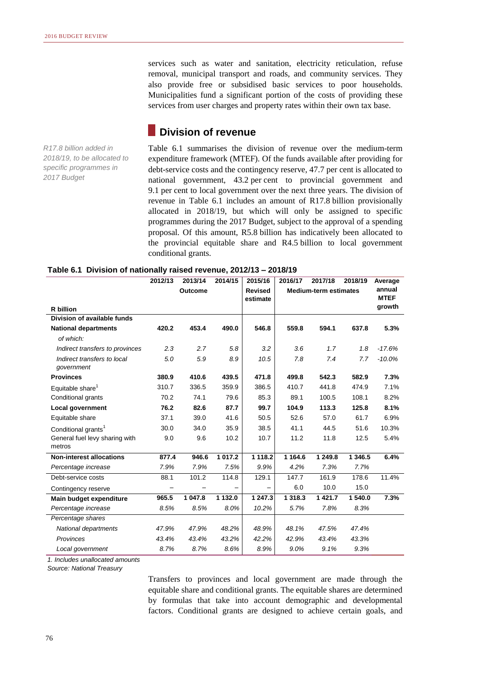services such as water and sanitation, electricity reticulation, refuse removal, municipal transport and roads, and community services. They also provide free or subsidised basic services to poor households. Municipalities fund a significant portion of the costs of providing these services from user charges and property rates within their own tax base.

## **Division of revenue**

*R17.8 billion added in 2018/19, to be allocated to specific programmes in 2017 Budget*

Table 6.1 summarises the division of revenue over the medium-term expenditure framework (MTEF). Of the funds available after providing for debt-service costs and the contingency reserve, 47.7 per cent is allocated to national government, 43.2 per cent to provincial government and 9.1 per cent to local government over the next three years. The division of revenue in Table 6.1 includes an amount of R17.8 billion provisionally allocated in 2018/19, but which will only be assigned to specific programmes during the 2017 Budget, subject to the approval of a spending proposal. Of this amount, R5.8 billion has indicatively been allocated to the provincial equitable share and R4.5 billion to local government conditional grants.

|  |  |  |  | Table 6.1 Division of nationally raised revenue, 2012/13 - 2018/19 |
|--|--|--|--|--------------------------------------------------------------------|
|--|--|--|--|--------------------------------------------------------------------|

|                                           | 2012/13 | 2013/14        | 2014/15 | 2015/16        | 2016/17                      | 2017/18     | 2018/19   | Average     |
|-------------------------------------------|---------|----------------|---------|----------------|------------------------------|-------------|-----------|-------------|
|                                           |         | <b>Outcome</b> |         | <b>Revised</b> | <b>Medium-term estimates</b> |             | annual    |             |
|                                           |         |                |         | estimate       |                              |             |           | <b>MTEF</b> |
| <b>R</b> billion                          |         |                |         |                |                              |             |           | growth      |
| Division of available funds               |         |                |         |                |                              |             |           |             |
| <b>National departments</b>               | 420.2   | 453.4          | 490.0   | 546.8          | 559.8                        | 594.1       | 637.8     | 5.3%        |
| of which:                                 |         |                |         |                |                              |             |           |             |
| Indirect transfers to provinces           | 2.3     | 2.7            | 5.8     | 3.2            | 3.6                          | 1.7         | 1.8       | $-17.6%$    |
| Indirect transfers to local<br>government | 5.0     | 5.9            | 8.9     | 10.5           | 7.8                          | 7.4         | 7.7       | $-10.0\%$   |
| <b>Provinces</b>                          | 380.9   | 410.6          | 439.5   | 471.8          | 499.8                        | 542.3       | 582.9     | 7.3%        |
| Equitable share <sup>1</sup>              | 310.7   | 336.5          | 359.9   | 386.5          | 410.7                        | 441.8       | 474.9     | 7.1%        |
| Conditional grants                        | 70.2    | 74.1           | 79.6    | 85.3           | 89.1                         | 100.5       | 108.1     | 8.2%        |
| <b>Local government</b>                   | 76.2    | 82.6           | 87.7    | 99.7           | 104.9                        | 113.3       | 125.8     | 8.1%        |
| Equitable share                           | 37.1    | 39.0           | 41.6    | 50.5           | 52.6                         | 57.0        | 61.7      | 6.9%        |
| Conditional grants <sup>1</sup>           | 30.0    | 34.0           | 35.9    | 38.5           | 41.1                         | 44.5        | 51.6      | 10.3%       |
| General fuel levy sharing with<br>metros  | 9.0     | 9.6            | 10.2    | 10.7           | 11.2                         | 11.8        | 12.5      | 5.4%        |
| <b>Non-interest allocations</b>           | 877.4   | 946.6          | 1 017.2 | 1 118.2        | 1 1 64.6                     | 1 249.8     | 1 3 4 6.5 | 6.4%        |
| Percentage increase                       | 7.9%    | 7.9%           | 7.5%    | 9.9%           | 4.2%                         | 7.3%        | 7.7%      |             |
| Debt-service costs                        | 88.1    | 101.2          | 114.8   | 129.1          | 147.7                        | 161.9       | 178.6     | 11.4%       |
| Contingency reserve                       |         |                |         |                | 6.0                          | 10.0        | 15.0      |             |
| Main budget expenditure                   | 965.5   | 1 047.8        | 1 132.0 | 1 247.3        | 1 3 1 8 . 3                  | 1 4 2 1 . 7 | 1 540.0   | 7.3%        |
| Percentage increase                       | 8.5%    | 8.5%           | 8.0%    | 10.2%          | 5.7%                         | 7.8%        | 8.3%      |             |
| Percentage shares                         |         |                |         |                |                              |             |           |             |
| National departments                      | 47.9%   | 47.9%          | 48.2%   | 48.9%          | 48.1%                        | 47.5%       | 47.4%     |             |
| Provinces                                 | 43.4%   | 43.4%          | 43.2%   | 42.2%          | 42.9%                        | 43.4%       | 43.3%     |             |
| Local government                          | 8.7%    | 8.7%           | 8.6%    | 8.9%           | 9.0%                         | 9.1%        | 9.3%      |             |

*1. Includes unallocated amounts*

*Source: National Treasury*

Transfers to provinces and local government are made through the equitable share and conditional grants. The equitable shares are determined by formulas that take into account demographic and developmental factors. Conditional grants are designed to achieve certain goals, and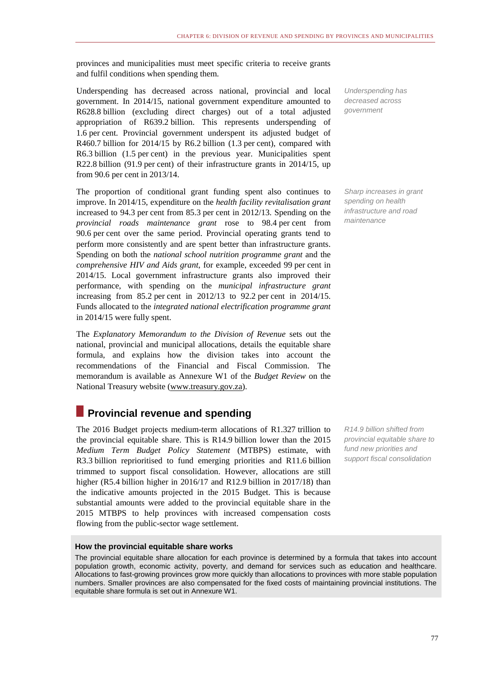provinces and municipalities must meet specific criteria to receive grants and fulfil conditions when spending them.

Underspending has decreased across national, provincial and local government. In 2014/15, national government expenditure amounted to R628.8 billion (excluding direct charges) out of a total adjusted appropriation of R639.2 billion. This represents underspending of 1.6 per cent. Provincial government underspent its adjusted budget of R460.7 billion for 2014/15 by R6.2 billion (1.3 per cent), compared with R6.3 billion (1.5 per cent) in the previous year. Municipalities spent R22.8 billion (91.9 per cent) of their infrastructure grants in 2014/15, up from 90.6 per cent in 2013/14.

The proportion of conditional grant funding spent also continues to improve. In 2014/15, expenditure on the *health facility revitalisation grant* increased to 94.3 per cent from 85.3 per cent in 2012/13. Spending on the *provincial roads maintenance grant* rose to 98.4 per cent from 90.6 per cent over the same period. Provincial operating grants tend to perform more consistently and are spent better than infrastructure grants. Spending on both the *national school nutrition programme grant* and the *comprehensive HIV and Aids grant*, for example, exceeded 99 per cent in 2014/15. Local government infrastructure grants also improved their performance, with spending on the *municipal infrastructure grant* increasing from 85.2 per cent in 2012/13 to 92.2 per cent in 2014/15. Funds allocated to the *integrated national electrification programme grant* in 2014/15 were fully spent.

The *Explanatory Memorandum to the Division of Revenue* sets out the national, provincial and municipal allocations, details the equitable share formula, and explains how the division takes into account the recommendations of the Financial and Fiscal Commission. The memorandum is available as Annexure W1 of the *Budget Review* on the National Treasury website [\(www.treasury.gov.za\)](http://www.treasury.gov.za/).

# **Provincial revenue and spending**

The 2016 Budget projects medium-term allocations of R1.327 trillion to the provincial equitable share. This is R14.9 billion lower than the 2015 *Medium Term Budget Policy Statement* (MTBPS) estimate, with R3.3 billion reprioritised to fund emerging priorities and R11.6 billion trimmed to support fiscal consolidation. However, allocations are still higher (R5.4 billion higher in 2016/17 and R12.9 billion in 2017/18) than the indicative amounts projected in the 2015 Budget. This is because substantial amounts were added to the provincial equitable share in the 2015 MTBPS to help provinces with increased compensation costs flowing from the public-sector wage settlement.

*Underspending has decreased across government* 

*Sharp increases in grant spending on health infrastructure and road maintenance*

*R14.9 billion shifted from provincial equitable share to fund new priorities and support fiscal consolidation* 

#### **How the provincial equitable share works**

The provincial equitable share allocation for each province is determined by a formula that takes into account population growth, economic activity, poverty, and demand for services such as education and healthcare. Allocations to fast-growing provinces grow more quickly than allocations to provinces with more stable population numbers. Smaller provinces are also compensated for the fixed costs of maintaining provincial institutions. The equitable share formula is set out in Annexure W1.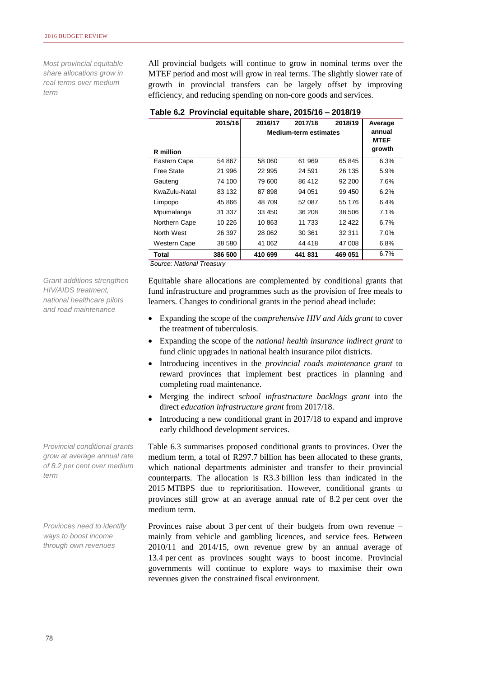*Most provincial equitable share allocations grow in real terms over medium term*

All provincial budgets will continue to grow in nominal terms over the MTEF period and most will grow in real terms. The slightly slower rate of growth in provincial transfers can be largely offset by improving efficiency, and reducing spending on non-core goods and services.

|                   | 2015/16 | 2016/17<br><b>Medium-term estimates</b> | Average<br>annual<br><b>MTEF</b> |         |        |
|-------------------|---------|-----------------------------------------|----------------------------------|---------|--------|
| R million         |         |                                         |                                  |         | growth |
| Eastern Cape      | 54 867  | 58 060                                  | 61 969                           | 65 845  | 6.3%   |
| <b>Free State</b> | 21 996  | 22 995                                  | 24 591                           | 26 135  | 5.9%   |
| Gauteng           | 74 100  | 79 600                                  | 86 412                           | 92 200  | 7.6%   |
| KwaZulu-Natal     | 83 132  | 87898                                   | 94 051                           | 99 450  | 6.2%   |
| Limpopo           | 45 866  | 48709                                   | 52 087                           | 55 176  | 6.4%   |
| Mpumalanga        | 31 337  | 33 450                                  | 36 208                           | 38 506  | 7.1%   |
| Northern Cape     | 10 226  | 10863                                   | 11 733                           | 12 422  | 6.7%   |
| North West        | 26 397  | 28 062                                  | 30 361                           | 32 311  | 7.0%   |
| Western Cape      | 38 580  | 41 062                                  | 44 418                           | 47 008  | 6.8%   |
| Total             | 386 500 | 410 699                                 | 441831                           | 469 051 | 6.7%   |

#### **Table 6.2 Provincial equitable share, 2015/16 – 2018/19**

*Source: National Treasury*

*Grant additions strengthen HIV/AIDS treatment, national healthcare pilots and road maintenance*

Equitable share allocations are complemented by conditional grants that fund infrastructure and programmes such as the provision of free meals to learners. Changes to conditional grants in the period ahead include:

- Expanding the scope of the c*omprehensive HIV and Aids grant* to cover the treatment of tuberculosis.
- Expanding the scope of the *national health insurance indirect grant* to fund clinic upgrades in national health insurance pilot districts.
- Introducing incentives in the *provincial roads maintenance grant* to reward provinces that implement best practices in planning and completing road maintenance.
- Merging the indirect *school infrastructure backlogs grant* into the direct *education infrastructure grant* from 2017/18.
- Introducing a new conditional grant in 2017/18 to expand and improve early childhood development services.

Table 6.3 summarises proposed conditional grants to provinces. Over the medium term, a total of R297.7 billion has been allocated to these grants, which national departments administer and transfer to their provincial counterparts. The allocation is R3.3 billion less than indicated in the 2015 MTBPS due to reprioritisation. However, conditional grants to provinces still grow at an average annual rate of 8.2 per cent over the medium term.

Provinces raise about 3 per cent of their budgets from own revenue – mainly from vehicle and gambling licences, and service fees. Between 2010/11 and 2014/15, own revenue grew by an annual average of 13.4 per cent as provinces sought ways to boost income. Provincial governments will continue to explore ways to maximise their own revenues given the constrained fiscal environment.

*Provincial conditional grants grow at average annual rate of 8.2 per cent over medium term*

*Provinces need to identify ways to boost income through own revenues*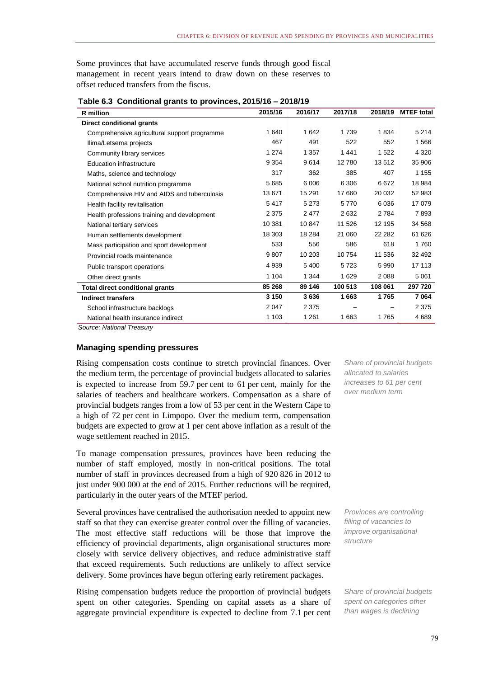Some provinces that have accumulated reserve funds through good fiscal management in recent years intend to draw down on these reserves to offset reduced transfers from the fiscus.

| R million                                    | 2015/16 | 2016/17 | 2017/18 | 2018/19 | <b>MTEF</b> total |
|----------------------------------------------|---------|---------|---------|---------|-------------------|
| <b>Direct conditional grants</b>             |         |         |         |         |                   |
| Comprehensive agricultural support programme | 1640    | 1642    | 1 7 3 9 | 1834    | 5 2 1 4           |
| Ilima/Letsema projects                       | 467     | 491     | 522     | 552     | 1566              |
| Community library services                   | 1 2 7 4 | 1 3 5 7 | 1441    | 1522    | 4 3 2 0           |
| Education infrastructure                     | 9 3 5 4 | 9614    | 12780   | 13512   | 35 906            |
| Maths, science and technology                | 317     | 362     | 385     | 407     | 1 1 5 5           |
| National school nutrition programme          | 5685    | 6 0 0 6 | 6 3 0 6 | 6672    | 18 984            |
| Comprehensive HIV and AIDS and tuberculosis  | 13671   | 15 291  | 17 660  | 20 032  | 52 983            |
| Health facility revitalisation               | 5417    | 5 2 7 3 | 5770    | 6036    | 17 079            |
| Health professions training and development  | 2 3 7 5 | 2477    | 2632    | 2784    | 7893              |
| National tertiary services                   | 10 381  | 10847   | 11 526  | 12 195  | 34 568            |
| Human settlements development                | 18 303  | 18 284  | 21 060  | 22 282  | 61 626            |
| Mass participation and sport development     | 533     | 556     | 586     | 618     | 1760              |
| Provincial roads maintenance                 | 9807    | 10 203  | 10754   | 11 536  | 32 492            |
| Public transport operations                  | 4939    | 5 4 0 0 | 5723    | 5990    | 17 113            |
| Other direct grants                          | 1 104   | 1 344   | 1629    | 2088    | 5 0 61            |
| <b>Total direct conditional grants</b>       | 85 268  | 89 146  | 100 513 | 108 061 | 297 720           |
| <b>Indirect transfers</b>                    | 3 1 5 0 | 3636    | 1663    | 1765    | 7064              |
| School infrastructure backlogs               | 2047    | 2 3 7 5 |         |         | 2 3 7 5           |
| National health insurance indirect           | 1 1 0 3 | 1 2 6 1 | 1 663   | 1765    | 4689              |

**Table 6.3 Conditional grants to provinces, 2015/16 – 2018/19**

*Source: National Treasury*

#### **Managing spending pressures**

Rising compensation costs continue to stretch provincial finances. Over the medium term, the percentage of provincial budgets allocated to salaries is expected to increase from 59.7 per cent to 61 per cent, mainly for the salaries of teachers and healthcare workers. Compensation as a share of provincial budgets ranges from a low of 53 per cent in the Western Cape to a high of 72 per cent in Limpopo. Over the medium term, compensation budgets are expected to grow at 1 per cent above inflation as a result of the wage settlement reached in 2015.

To manage compensation pressures, provinces have been reducing the number of staff employed, mostly in non-critical positions. The total number of staff in provinces decreased from a high of 920 826 in 2012 to just under 900 000 at the end of 2015. Further reductions will be required, particularly in the outer years of the MTEF period.

Several provinces have centralised the authorisation needed to appoint new staff so that they can exercise greater control over the filling of vacancies. The most effective staff reductions will be those that improve the efficiency of provincial departments, align organisational structures more closely with service delivery objectives, and reduce administrative staff that exceed requirements. Such reductions are unlikely to affect service delivery. Some provinces have begun offering early retirement packages.

Rising compensation budgets reduce the proportion of provincial budgets spent on other categories. Spending on capital assets as a share of aggregate provincial expenditure is expected to decline from 7.1 per cent

*Share of provincial budgets allocated to salaries increases to 61 per cent over medium term*

*Provinces are controlling filling of vacancies to improve organisational structure*

*Share of provincial budgets spent on categories other than wages is declining*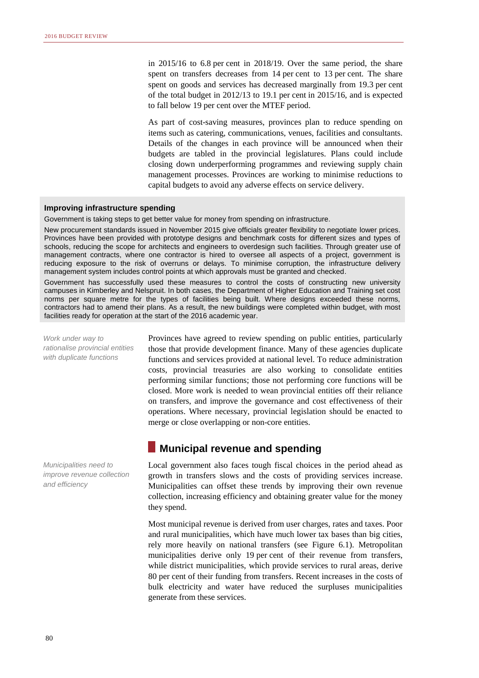in 2015/16 to 6.8 per cent in 2018/19. Over the same period, the share spent on transfers decreases from 14 per cent to 13 per cent. The share spent on goods and services has decreased marginally from 19.3 per cent of the total budget in 2012/13 to 19.1 per cent in 2015/16, and is expected to fall below 19 per cent over the MTEF period.

As part of cost-saving measures, provinces plan to reduce spending on items such as catering, communications, venues, facilities and consultants. Details of the changes in each province will be announced when their budgets are tabled in the provincial legislatures. Plans could include closing down underperforming programmes and reviewing supply chain management processes. Provinces are working to minimise reductions to capital budgets to avoid any adverse effects on service delivery.

#### **Improving infrastructure spending**

Government is taking steps to get better value for money from spending on infrastructure.

New procurement standards issued in November 2015 give officials greater flexibility to negotiate lower prices. Provinces have been provided with prototype designs and benchmark costs for different sizes and types of schools, reducing the scope for architects and engineers to overdesign such facilities. Through greater use of management contracts, where one contractor is hired to oversee all aspects of a project, government is reducing exposure to the risk of overruns or delays. To minimise corruption, the infrastructure delivery management system includes control points at which approvals must be granted and checked.

Government has successfully used these measures to control the costs of constructing new university campuses in Kimberley and Nelspruit. In both cases, the Department of Higher Education and Training set cost norms per square metre for the types of facilities being built. Where designs exceeded these norms, contractors had to amend their plans. As a result, the new buildings were completed within budget, with most facilities ready for operation at the start of the 2016 academic year.

*Work under way to rationalise provincial entities with duplicate functions*

*Municipalities need to improve revenue collection and efficiency*

Provinces have agreed to review spending on public entities, particularly those that provide development finance. Many of these agencies duplicate functions and services provided at national level. To reduce administration costs, provincial treasuries are also working to consolidate entities performing similar functions; those not performing core functions will be closed. More work is needed to wean provincial entities off their reliance on transfers, and improve the governance and cost effectiveness of their operations. Where necessary, provincial legislation should be enacted to merge or close overlapping or non-core entities.

### **Municipal revenue and spending**

Local government also faces tough fiscal choices in the period ahead as growth in transfers slows and the costs of providing services increase. Municipalities can offset these trends by improving their own revenue collection, increasing efficiency and obtaining greater value for the money they spend.

Most municipal revenue is derived from user charges, rates and taxes. Poor and rural municipalities, which have much lower tax bases than big cities, rely more heavily on national transfers (see Figure 6.1). Metropolitan municipalities derive only 19 per cent of their revenue from transfers, while district municipalities, which provide services to rural areas, derive 80 per cent of their funding from transfers. Recent increases in the costs of bulk electricity and water have reduced the surpluses municipalities generate from these services.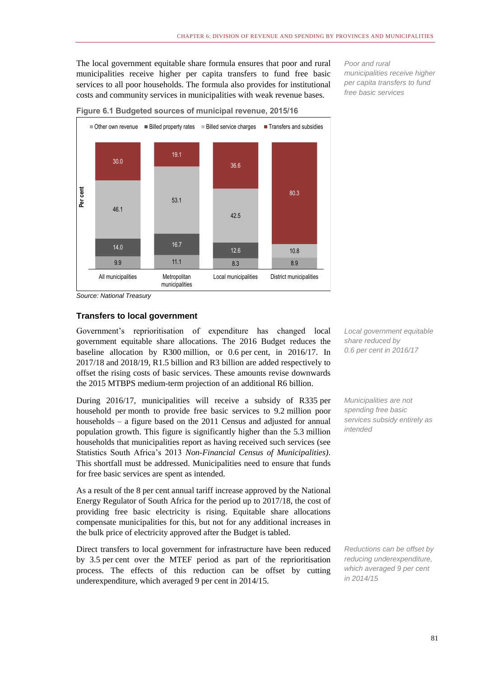The local government equitable share formula ensures that poor and rural municipalities receive higher per capita transfers to fund free basic services to all poor households. The formula also provides for institutional costs and community services in municipalities with weak revenue bases.

*Poor and rural municipalities receive higher per capita transfers to fund free basic services*



**Figure 6.1 Budgeted sources of municipal revenue, 2015/16**

*Source: National Treasury*

#### **Transfers to local government**

Government's reprioritisation of expenditure has changed local government equitable share allocations. The 2016 Budget reduces the baseline allocation by R300 million, or 0.6 per cent, in 2016/17. In 2017/18 and 2018/19, R1.5 billion and R3 billion are added respectively to offset the rising costs of basic services. These amounts revise downwards the 2015 MTBPS medium-term projection of an additional R6 billion.

During 2016/17, municipalities will receive a subsidy of R335 per household per month to provide free basic services to 9.2 million poor households – a figure based on the 2011 Census and adjusted for annual population growth. This figure is significantly higher than the 5.3 million households that municipalities report as having received such services (see Statistics South Africa's 2013 *Non-Financial Census of Municipalities)*. This shortfall must be addressed. Municipalities need to ensure that funds for free basic services are spent as intended.

As a result of the 8 per cent annual tariff increase approved by the National Energy Regulator of South Africa for the period up to 2017/18, the cost of providing free basic electricity is rising. Equitable share allocations compensate municipalities for this, but not for any additional increases in the bulk price of electricity approved after the Budget is tabled.

Direct transfers to local government for infrastructure have been reduced by 3.5 per cent over the MTEF period as part of the reprioritisation process. The effects of this reduction can be offset by cutting underexpenditure, which averaged 9 per cent in 2014/15.

*Local government equitable share reduced by 0.6 per cent in 2016/17*

*Municipalities are not spending free basic services subsidy entirely as intended*

*Reductions can be offset by reducing underexpenditure, which averaged 9 per cent in 2014/15*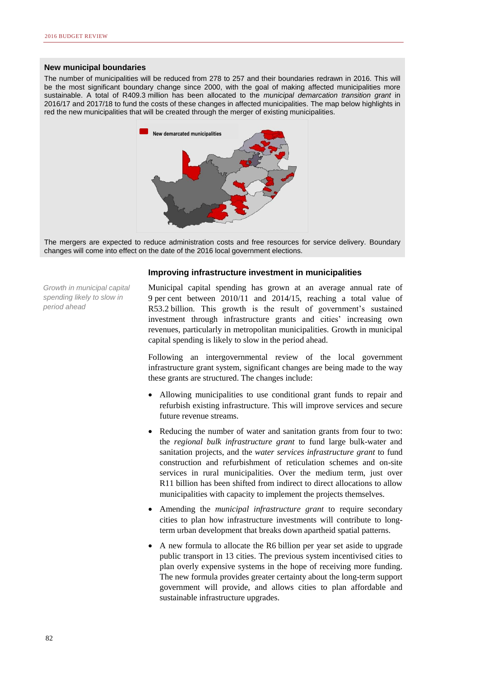#### **New municipal boundaries**

The number of municipalities will be reduced from 278 to 257 and their boundaries redrawn in 2016. This will be the most significant boundary change since 2000, with the goal of making affected municipalities more sustainable. A total of R409.3 million has been allocated to the *municipal demarcation transition grant* in 2016/17 and 2017/18 to fund the costs of these changes in affected municipalities. The map below highlights in red the new municipalities that will be created through the merger of existing municipalities.



The mergers are expected to reduce administration costs and free resources for service delivery. Boundary changes will come into effect on the date of the 2016 local government elections.

#### **Improving infrastructure investment in municipalities**

*Growth in municipal capital spending likely to slow in period ahead*

Municipal capital spending has grown at an average annual rate of 9 per cent between 2010/11 and 2014/15, reaching a total value of R53.2 billion. This growth is the result of government's sustained investment through infrastructure grants and cities' increasing own revenues, particularly in metropolitan municipalities. Growth in municipal capital spending is likely to slow in the period ahead.

Following an intergovernmental review of the local government infrastructure grant system, significant changes are being made to the way these grants are structured. The changes include:

- Allowing municipalities to use conditional grant funds to repair and refurbish existing infrastructure. This will improve services and secure future revenue streams.
- Reducing the number of water and sanitation grants from four to two: the *regional bulk infrastructure grant* to fund large bulk-water and sanitation projects, and the *water services infrastructure grant* to fund construction and refurbishment of reticulation schemes and on-site services in rural municipalities. Over the medium term, just over R11 billion has been shifted from indirect to direct allocations to allow municipalities with capacity to implement the projects themselves.
- Amending the *municipal infrastructure grant* to require secondary cities to plan how infrastructure investments will contribute to longterm urban development that breaks down apartheid spatial patterns.
- A new formula to allocate the R6 billion per year set aside to upgrade public transport in 13 cities. The previous system incentivised cities to plan overly expensive systems in the hope of receiving more funding. The new formula provides greater certainty about the long-term support government will provide, and allows cities to plan affordable and sustainable infrastructure upgrades.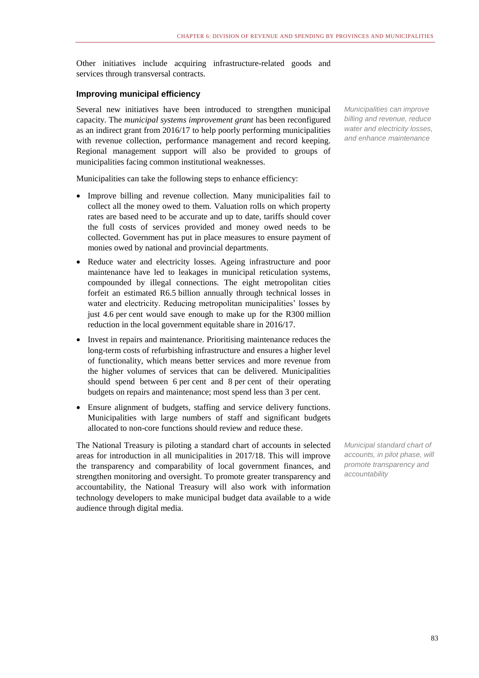Other initiatives include acquiring infrastructure-related goods and services through transversal contracts.

#### **Improving municipal efficiency**

Several new initiatives have been introduced to strengthen municipal capacity. The *municipal systems improvement grant* has been reconfigured as an indirect grant from 2016/17 to help poorly performing municipalities with revenue collection, performance management and record keeping. Regional management support will also be provided to groups of municipalities facing common institutional weaknesses.

Municipalities can take the following steps to enhance efficiency:

- Improve billing and revenue collection. Many municipalities fail to collect all the money owed to them. Valuation rolls on which property rates are based need to be accurate and up to date, tariffs should cover the full costs of services provided and money owed needs to be collected. Government has put in place measures to ensure payment of monies owed by national and provincial departments.
- Reduce water and electricity losses. Ageing infrastructure and poor maintenance have led to leakages in municipal reticulation systems, compounded by illegal connections. The eight metropolitan cities forfeit an estimated R6.5 billion annually through technical losses in water and electricity. Reducing metropolitan municipalities' losses by just 4.6 per cent would save enough to make up for the R300 million reduction in the local government equitable share in 2016/17.
- Invest in repairs and maintenance. Prioritising maintenance reduces the long-term costs of refurbishing infrastructure and ensures a higher level of functionality, which means better services and more revenue from the higher volumes of services that can be delivered. Municipalities should spend between 6 per cent and 8 per cent of their operating budgets on repairs and maintenance; most spend less than 3 per cent.
- Ensure alignment of budgets, staffing and service delivery functions. Municipalities with large numbers of staff and significant budgets allocated to non-core functions should review and reduce these.

The National Treasury is piloting a standard chart of accounts in selected areas for introduction in all municipalities in 2017/18. This will improve the transparency and comparability of local government finances, and strengthen monitoring and oversight. To promote greater transparency and accountability, the National Treasury will also work with information technology developers to make municipal budget data available to a wide audience through digital media.

*Municipalities can improve billing and revenue, reduce water and electricity losses, and enhance maintenance*

*Municipal standard chart of accounts, in pilot phase, will promote transparency and accountability*